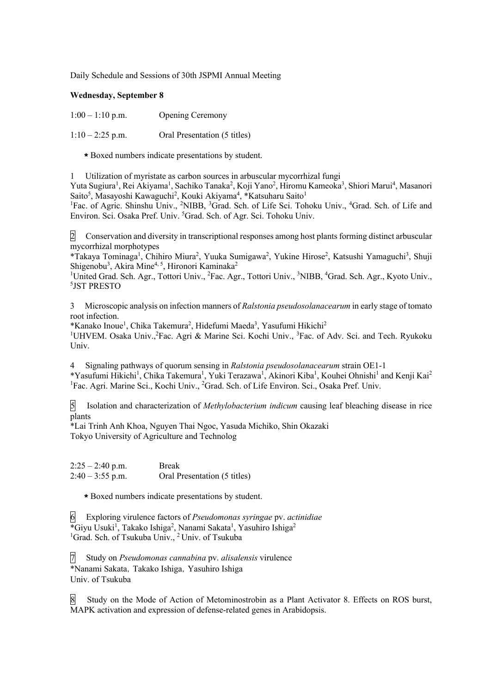Daily Schedule and Sessions of 30th JSPMI Annual Meeting

## **Wednesday, September 8**

| $1:00 - 1:10$ p.m. | <b>Opening Ceremony</b> |
|--------------------|-------------------------|
|                    |                         |

 $1:10-2:25$  p.m. Oral Presentation (5 titles)

\*Boxed numbers indicate presentations by student.

1 Utilization of myristate as carbon sources in arbuscular mycorrhizal fungi

Yuta Sugiura<sup>1</sup>, Rei Akiyama<sup>1</sup>, Sachiko Tanaka<sup>2</sup>, Koji Yano<sup>2</sup>, Hiromu Kameoka<sup>3</sup>, Shiori Marui<sup>4</sup>, Masanori Saito<sup>5</sup>, Masayoshi Kawaguchi<sup>2</sup>, Kouki Akiyama<sup>4</sup>, \*Katsuharu Saito<sup>1</sup>

<sup>1</sup>Fac. of Agric. Shinshu Univ., <sup>2</sup>NIBB, <sup>3</sup>Grad. Sch. of Life Sci. Tohoku Univ., <sup>4</sup>Grad. Sch. of Life and Environ. Sci. Osaka Pref. Univ. <sup>5</sup>Grad. Sch. of Agr. Sci. Tohoku Univ.

2 Conservation and diversity in transcriptional responses among host plants forming distinct arbuscular mycorrhizal morphotypes

\*Takaya Tominaga<sup>1</sup>, Chihiro Miura<sup>2</sup>, Yuuka Sumigawa<sup>2</sup>, Yukine Hirose<sup>2</sup>, Katsushi Yamaguchi<sup>3</sup>, Shuji Shigenobu<sup>3</sup>, Akira Mine<sup>4, 5</sup>, Hironori Kaminaka<sup>2</sup>

<sup>1</sup>United Grad. Sch. Agr., Tottori Univ., <sup>2</sup>Fac. Agr., Tottori Univ., <sup>3</sup>NIBB, <sup>4</sup>Grad. Sch. Agr., Kyoto Univ., 5 JST PRESTO

3 Microscopic analysis on infection manners of *Ralstonia pseudosolanacearum* in early stage of tomato root infection.

\*Kanako Inoue<sup>1</sup>, Chika Takemura<sup>2</sup>, Hidefumi Maeda<sup>3</sup>, Yasufumi Hikichi<sup>2</sup> <sup>1</sup>UHVEM. Osaka Univ.,<sup>2</sup>Fac. Agri & Marine Sci. Kochi Univ., <sup>3</sup>Fac. of Adv. Sci. and Tech. Ryukoku Univ.

4 Signaling pathways of quorum sensing in *Ralstonia pseudosolanacearum* strain OE1-1 \*Yasufumi Hikichi<sup>1</sup>, Chika Takemura<sup>1</sup>, Yuki Terazawa<sup>1</sup>, Akinori Kiba<sup>1</sup>, Kouhei Ohnishi<sup>1</sup> and Kenji Kai<sup>2</sup> <sup>1</sup>Fac. Agri. Marine Sci., Kochi Univ., <sup>2</sup>Grad. Sch. of Life Environ. Sci., Osaka Pref. Univ.

5 Isolation and characterization of *Methylobacterium indicum* causing leaf bleaching disease in rice plants

\*Lai Trinh Anh Khoa, Nguyen Thai Ngoc, Yasuda Michiko, Shin Okazaki Tokyo University of Agriculture and Technolog

 $2:25 - 2:40$  p.m. Break  $2:40 - 3:55$  p.m. Oral Presentation (5 titles)

\*Boxed numbers indicate presentations by student.

6 Exploring virulence factors of *Pseudomonas syringae* pv. *actinidiae* \*Giyu Usuki<sup>1</sup>, Takako Ishiga<sup>2</sup>, Nanami Sakata<sup>1</sup>, Yasuhiro Ishiga<sup>2</sup> <sup>1</sup>Grad. Sch. of Tsukuba Univ., <sup>2</sup> Univ. of Tsukuba

7 Study on *Pseudomonas cannabina* pv. *alisalensis* virulence \*Nanami Sakata,Takako Ishiga,Yasuhiro Ishiga Univ. of Tsukuba

8 Study on the Mode of Action of Metominostrobin as a Plant Activator 8. Effects on ROS burst, MAPK activation and expression of defense-related genes in Arabidopsis.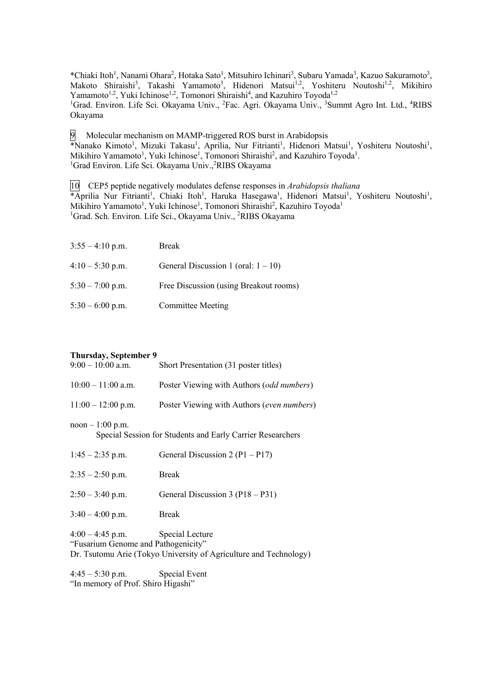\*Chiaki Itoh<sup>1</sup>, Nanami Ohara<sup>2</sup>, Hotaka Sato<sup>1</sup>, Mitsuhiro Ichinari<sup>3</sup>, Subaru Yamada<sup>3</sup>, Kazuo Sakuramoto<sup>3</sup>, Makoto Shiraishi<sup>3</sup>, Takashi Yamamoto<sup>3</sup>, Hidenori Matsui<sup>1,2</sup>, Yoshiteru Noutoshi<sup>1,2</sup>, Mikihiro Yamamoto<sup>1,2</sup>, Yuki Ichinose<sup>1,2</sup>, Tomonori Shiraishi<sup>4</sup>, and Kazuhiro Toyoda<sup>1,2</sup> <sup>1</sup>Grad. Environ. Life Sci. Okayama Univ., <sup>2</sup>Fac. Agri. Okayama Univ., <sup>3</sup>Summt Agro Int. Ltd., <sup>4</sup>RIBS Okayama

9 Molecular mechanism on MAMP-triggered ROS burst in Arabidopsis \*Nanako Kimoto<sup>1</sup>, Mizuki Takasu<sup>1</sup>, Aprilia, Nur Fitrianti<sup>1</sup>, Hidenori Matsui<sup>1</sup>, Yoshiteru Noutoshi<sup>1</sup>, Mikihiro Yamamoto<sup>1</sup>, Yuki Ichinose<sup>1</sup>, Tomonori Shiraishi<sup>2</sup>, and Kazuhiro Toyoda<sup>1</sup>. <sup>1</sup>Grad Environ. Life Sci. Okayama Univ.,<sup>2</sup>RIBS Okayama

10 CEP5 peptide negatively modulates defense responses in *Arabidopsis thaliana* \*Aprilia Nur Fitrianti<sup>1</sup>, Chiaki Itoh<sup>1</sup>, Haruka Hasegawa<sup>1</sup>, Hidenori Matsui<sup>1</sup>, Yoshiteru Noutoshi<sup>1</sup>, Mikihiro Yamamoto<sup>1</sup>, Yuki Ichinose<sup>1</sup>, Tomonori Shiraishi<sup>2</sup>, Kazuhiro Toyoda<sup>1</sup> <sup>1</sup>Grad. Sch. Environ. Life Sci., Okayama Univ., <sup>2</sup>RIBS Okayama

| $3:55 - 4:10$ p.m. | <b>Break</b>                           |
|--------------------|----------------------------------------|
| $4:10 - 5:30$ p.m. | General Discussion 1 (oral: $1 - 10$ ) |
| $5:30 - 7:00$ p.m. | Free Discussion (using Breakout rooms) |
| $5:30 - 6:00$ p.m. | Committee Meeting                      |

## **Thursday, September 9**

| $9:00-10:00$ a.m.                                                                                                                                 | Short Presentation (31 poster titles)              |  |
|---------------------------------------------------------------------------------------------------------------------------------------------------|----------------------------------------------------|--|
| $10:00 - 11:00$ a.m.                                                                                                                              | Poster Viewing with Authors ( <i>odd numbers</i> ) |  |
| $11:00 - 12:00$ p.m.                                                                                                                              | Poster Viewing with Authors (even numbers)         |  |
| $noon - 1:00 p.m.$<br>Special Session for Students and Early Carrier Researchers                                                                  |                                                    |  |
| $1:45 - 2:35$ p.m.                                                                                                                                | General Discussion 2 ( $P1 - P17$ )                |  |
| $2:35 - 2:50$ p.m.                                                                                                                                | <b>Break</b>                                       |  |
| $2:50 - 3:40$ p.m.                                                                                                                                | General Discussion 3 (P18 – P31)                   |  |
| $3:40 - 4:00$ p.m.                                                                                                                                | <b>Break</b>                                       |  |
| $4:00 - 4:45$ p.m.<br>Special Lecture<br>"Fusarium Genome and Pathogenicity"<br>Dr. Tsutomu Arie (Tokyo University of Agriculture and Technology) |                                                    |  |

4:45 – 5:30 p.m. Special Event "In memory of Prof. Shiro Higashi"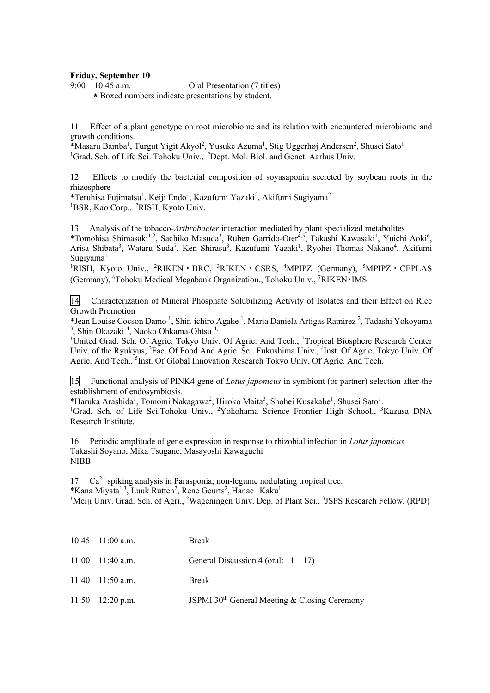## **Friday, September 10**

9:00 – 10:45 a.m. Oral Presentation (7 titles)

\*Boxed numbers indicate presentations by student.

11 Effect of a plant genotype on root microbiome and its relation with encountered microbiome and growth conditions.

\*Masaru Bamba<sup>1</sup>, Turgut Yigit Akyol<sup>2</sup>, Yusuke Azuma<sup>1</sup>, Stig Uggerhøj Andersen<sup>2</sup>, Shusei Sato<sup>1</sup> <sup>1</sup>Grad. Sch. of Life Sci. Tohoku Univ., <sup>2</sup>Dept. Mol. Biol. and Genet. Aarhus Univ.

12 Effects to modify the bacterial composition of soyasaponin secreted by soybean roots in the rhizosphere

\*Teruhisa Fujimatsu<sup>1</sup>, Keiji Endo<sup>1</sup>, Kazufumi Yazaki<sup>2</sup>, Akifumi Sugiyama<sup>2</sup> <sup>1</sup>BSR, Kao Corp., <sup>2</sup>RISH, Kyoto Univ.

13 Analysis of the tobacco-*Arthrobacter* interaction mediated by plant specialized metabolites \*Tomohisa Shimasaki<sup>1,2</sup>, Sachiko Masuda<sup>3</sup>, Ruben Garrido-Oter<sup>4,5</sup>, Takashi Kawasaki<sup>1</sup>, Yuichi Aoki<sup>6</sup>, Arisa Shibata<sup>3</sup>, Wataru Suda<sup>7</sup>, Ken Shirasu<sup>3</sup>, Kazufumi Yazaki<sup>1</sup>, Ryohei Thomas Nakano<sup>4</sup>, Akifumi Sugiyama<sup>1</sup>

<sup>1</sup>RISH, Kyoto Univ., <sup>2</sup>RIKEN · BRC, <sup>3</sup>RIKEN · CSRS, <sup>4</sup>MPIPZ (Germany), <sup>5</sup>MPIPZ · CEPLAS (Germany), <sup>6</sup>Tohoku Medical Megabank Organization., Tohoku Univ., <sup>7</sup>RIKEN · IMS

14 Characterization of Mineral Phosphate Solubilizing Activity of Isolates and their Effect on Rice Growth Promotion

\*Jean Louise Cocson Damo<sup>1</sup>, Shin-ichiro Agake<sup>1</sup>, Maria Daniela Artigas Ramirez<sup>2</sup>, Tadashi Yokoyama <sup>3</sup>, Shin Okazaki<sup>4</sup>, Naoko Ohkama-Ohtsu<sup>4,5</sup>

<sup>1</sup>United Grad. Sch. Of Agric. Tokyo Univ. Of Agric. And Tech., <sup>2</sup>Tropical Biosphere Research Center Univ. of the Ryukyus, <sup>3</sup>Fac. Of Food And Agric. Sci. Fukushima Univ., <sup>4</sup>Inst. Of Agric. Tokyo Univ. Of Agric. And Tech., <sup>5</sup>Inst. Of Global Innovation Research Tokyo Univ. Of Agric. And Tech.

15 Functional analysis of PINK4 gene of *Lotus japonicus* in symbiont (or partner) selection after the establishment of endosymbiosis.

\*Haruka Arashida<sup>1</sup>, Tomomi Nakagawa<sup>2</sup>, Hiroko Maita<sup>3</sup>, Shohei Kusakabe<sup>1</sup>, Shusei Sato<sup>1</sup>.

<sup>1</sup>Grad. Sch. of Life Sci.Tohoku Univ., <sup>2</sup>Yokohama Science Frontier High School., <sup>3</sup>Kazusa DNA Research Institute.

16 Periodic amplitude of gene expression in response to rhizobial infection in *Lotus japonicus* Takashi Soyano, Mika Tsugane, Masayoshi Kawaguchi NIBB

 $17$   $Ca^{2+}$  spiking analysis in Parasponia; non-legume nodulating tropical tree. \*Kana Miyata<sup>1,3</sup>, Luuk Rutten<sup>2</sup>, Rene Geurts<sup>2</sup>, Hanae Kaku<sup>1</sup>

<sup>1</sup>Meiji Univ. Grad. Sch. of Agri., <sup>2</sup>Wageningen Univ. Dep. of Plant Sci., <sup>3</sup>JSPS Research Fellow, (RPD)

| $10:45 - 11:00$ a.m. | <b>Break</b>                                              |
|----------------------|-----------------------------------------------------------|
| $11:00 - 11:40$ a.m. | General Discussion 4 (oral: $11 - 17$ )                   |
| $11:40 - 11:50$ a.m. | <b>Break</b>                                              |
| $11:50 - 12:20$ p.m. | JSPMI 30 <sup>th</sup> General Meeting & Closing Ceremony |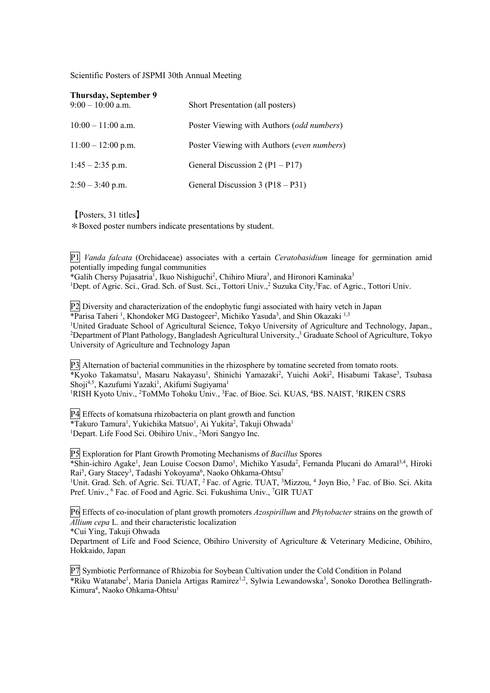Scientific Posters of JSPMI 30th Annual Meeting

| Thursday, September 9<br>$9:00 - 10:00$ a.m. | Short Presentation (all posters)           |
|----------------------------------------------|--------------------------------------------|
| $10:00 - 11:00$ a.m.                         | Poster Viewing with Authors (odd numbers)  |
| $11:00 - 12:00$ p.m.                         | Poster Viewing with Authors (even numbers) |
| $1:45 - 2:35$ p.m.                           | General Discussion 2 $(P1 - P17)$          |
| $2:50 - 3:40$ p.m.                           | General Discussion 3 (P18 – P31)           |

【Posters, 31 titles】

\*Boxed poster numbers indicate presentations by student.

P1 *Vanda falcata* (Orchidaceae) associates with a certain *Ceratobasidium* lineage for germination amid potentially impeding fungal communities

\*Galih Chersy Pujasatria<sup>1</sup>, Ikuo Nishiguchi<sup>2</sup>, Chihiro Miura<sup>3</sup>, and Hironori Kaminaka<sup>3</sup>

<sup>1</sup>Dept. of Agric. Sci., Grad. Sch. of Sust. Sci., Tottori Univ.,<sup>2</sup> Suzuka City,<sup>3</sup>Fac. of Agric., Tottori Univ.

P2 Diversity and characterization of the endophytic fungi associated with hairy vetch in Japan \*Parisa Taheri<sup>1</sup>, Khondoker MG Dastogeer<sup>2</sup>, Michiko Yasuda<sup>3</sup>, and Shin Okazaki<sup>1,3</sup> <sup>1</sup>United Graduate School of Agricultural Science, Tokyo University of Agriculture and Technology, Japan., <sup>2</sup>Department of Plant Pathology, Bangladesh Agricultural University.,<sup>3</sup> Graduate School of Agriculture, Tokyo University of Agriculture and Technology Japan

P3 Alternation of bacterial communities in the rhizosphere by tomatine secreted from tomato roots. \*Kyoko Takamatsu<sup>1</sup>, Masaru Nakayasu<sup>1</sup>, Shinichi Yamazaki<sup>2</sup>, Yuichi Aoki<sup>2</sup>, Hisabumi Takase<sup>3</sup>, Tsubasa Shoji<sup>4,5</sup>, Kazufumi Yazaki<sup>1</sup>, Akifumi Sugiyama<sup>1</sup> <sup>1</sup>RISH Kyoto Univ., <sup>2</sup>ToMMo Tohoku Univ., <sup>3</sup>Fac. of Bioe. Sci. KUAS, <sup>4</sup>BS. NAIST, <sup>5</sup>RIKEN CSRS

P4 Effects of komatsuna rhizobacteria on plant growth and function \*Takuro Tamura<sup>1</sup>, Yukichika Matsuo<sup>1</sup>, Ai Yukita<sup>2</sup>, Takuji Ohwada<sup>1</sup> <sup>1</sup>Depart. Life Food Sci. Obihiro Univ., <sup>2</sup>Mori Sangyo Inc.

P5 Exploration for Plant Growth Promoting Mechanisms of *Bacillus* Spores \*Shin-ichiro Agake<sup>1</sup>, Jean Louise Cocson Damo<sup>1</sup>, Michiko Yasuda<sup>2</sup>, Fernanda Plucani do Amaral<sup>3,4</sup>, Hiroki Rai<sup>5</sup>, Gary Stacey<sup>3</sup>, Tadashi Yokoyama<sup>6</sup>, Naoko Ohkama-Ohtsu<sup>7</sup>

<sup>1</sup>Unit. Grad. Sch. of Agric. Sci. TUAT, <sup>2</sup> Fac. of Agric. TUAT, <sup>3</sup>Mizzou, <sup>4</sup> Joyn Bio, <sup>5</sup> Fac. of Bio. Sci. Akita Pref. Univ., <sup>6</sup> Fac. of Food and Agric. Sci. Fukushima Univ., <sup>7</sup>GIR TUAT

P6 Effects of co-inoculation of plant growth promoters *Azospirillum* and *Phytobacter* strains on the growth of *Allium cepa* L. and their characteristic localization

\*Cui Ying, Takuji Ohwada

Department of Life and Food Science, Obihiro University of Agriculture & Veterinary Medicine, Obihiro, Hokkaido, Japan

P7 Symbiotic Performance of Rhizobia for Soybean Cultivation under the Cold Condition in Poland \*Riku Watanabe<sup>1</sup>, Maria Daniela Artigas Ramirez<sup>1,2</sup>, Sylwia Lewandowska<sup>3</sup>, Sonoko Dorothea Bellingrath-Kimura<sup>4</sup>, Naoko Ohkama-Ohtsu<sup>1</sup>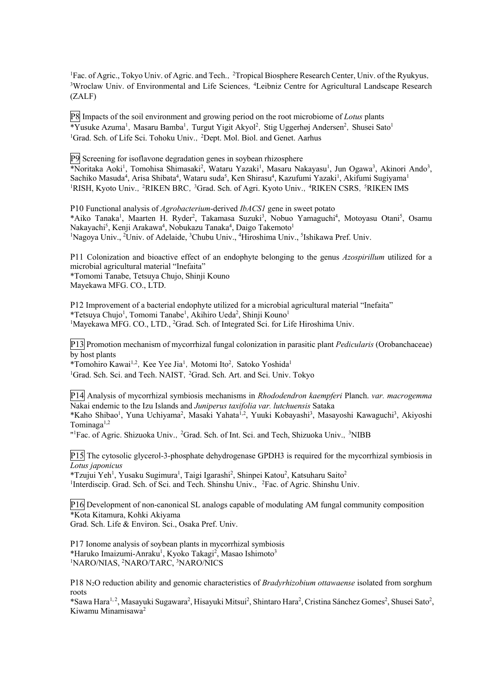<sup>1</sup>Fac. of Agric., Tokyo Univ. of Agric. and Tech., <sup>2</sup>Tropical Biosphere Research Center, Univ. of the Ryukyus, <sup>3</sup>Wroclaw Univ. of Environmental and Life Sciences, <sup>4</sup>Leibniz Centre for Agricultural Landscape Research (ZALF)

P8 Impacts of the soil environment and growing period on the root microbiome of *Lotus* plants \*Yusuke Azuma<sup>1</sup>, Masaru Bamba<sup>1</sup>, Turgut Yigit Akyol<sup>2</sup>, Stig Uggerhøj Andersen<sup>2</sup>, Shusei Sato<sup>1</sup> <sup>1</sup>Grad. Sch. of Life Sci. Tohoku Univ., <sup>2</sup>Dept. Mol. Biol. and Genet. Aarhus

P9 Screening for isoflavone degradation genes in soybean rhizosphere

\*Noritaka Aoki<sup>1</sup>, Tomohisa Shimasaki<sup>2</sup>, Wataru Yazaki<sup>1</sup>, Masaru Nakayasu<sup>1</sup>, Jun Ogawa<sup>3</sup>, Akinori Ando<sup>3</sup>, Sachiko Masuda<sup>4</sup>, Arisa Shibata<sup>4</sup>, Wataru suda<sup>5</sup>, Ken Shirasu<sup>4</sup>, Kazufumi Yazaki<sup>1</sup>, Akifumi Sugiyama<sup>1</sup> <sup>1</sup>RISH, Kyoto Univ., <sup>2</sup>RIKEN BRC, <sup>3</sup>Grad. Sch. of Agri. Kyoto Univ., <sup>4</sup>RIKEN CSRS, <sup>5</sup>RIKEN IMS

P10 Functional analysis of *Agrobacterium*-derived *IbACS1* gene in sweet potato \*Aiko Tanaka<sup>1</sup>, Maarten H. Ryder<sup>2</sup>, Takamasa Suzuki<sup>3</sup>, Nobuo Yamaguchi<sup>4</sup>, Motoyasu Otani<sup>5</sup>, Osamu Nakayachi<sup>5</sup>, Kenji Arakawa<sup>4</sup>, Nobukazu Tanaka<sup>4</sup>, Daigo Takemoto<sup>1</sup> <sup>1</sup>Nagoya Univ., <sup>2</sup>Univ. of Adelaide, <sup>3</sup>Chubu Univ., <sup>4</sup>Hiroshima Univ., <sup>5</sup>Ishikawa Pref. Univ.

P11 Colonization and bioactive effect of an endophyte belonging to the genus *Azospirillum* utilized for a microbial agricultural material "Inefaita" \*Tomomi Tanabe, Tetsuya Chujo, Shinji Kouno

Mayekawa MFG. CO., LTD.

P12 Improvement of a bacterial endophyte utilized for a microbial agricultural material "Inefaita" \*Tetsuya Chujo<sup>1</sup>, Tomomi Tanabe<sup>1</sup>, Akihiro Ueda<sup>2</sup>, Shinji Kouno<sup>1</sup> <sup>1</sup>Mayekawa MFG. CO., LTD., <sup>2</sup>Grad. Sch. of Integrated Sci. for Life Hiroshima Univ.

P13 Promotion mechanism of mycorrhizal fungal colonization in parasitic plant *Pedicularis* (Orobanchaceae) by host plants

\*Tomohiro Kawai<sup>1,2</sup>, Kee Yee Jia<sup>1</sup>, Motomi Ito<sup>2</sup>, Satoko Yoshida<sup>1</sup> <sup>1</sup>Grad. Sch. Sci. and Tech. NAIST, <sup>2</sup>Grad. Sch. Art. and Sci. Univ. Tokyo

P14 Analysis of mycorrhizal symbiosis mechanisms in *Rhododendron kaempferi* Planch. *var. macrogemma* Nakai endemic to the Izu Islands and *Juniperus taxifolia var. lutchuensis* Sataka

\*Kaho Shibao<sup>1</sup>, Yuna Uchiyama<sup>2</sup>, Masaki Yahata<sup>1,2</sup>, Yuuki Kobayashi<sup>3</sup>, Masayoshi Kawaguchi<sup>3</sup>, Akiyoshi Tominaga1,2

"<sup>1</sup>Fac. of Agric. Shizuoka Univ., <sup>2</sup>Grad. Sch. of Int. Sci. and Tech, Shizuoka Univ., <sup>3</sup>NIBB

P15 The cytosolic glycerol-3-phosphate dehydrogenase GPDH3 is required for the mycorrhizal symbiosis in *Lotus japonicus*

\*Tzujui Yeh<sup>1</sup>, Yusaku Sugimura<sup>1</sup>, Taigi Igarashi<sup>2</sup>, Shinpei Katou<sup>2</sup>, Katsuharu Saito<sup>2</sup> <sup>1</sup>Interdiscip. Grad. Sch. of Sci. and Tech. Shinshu Univ., <sup>2</sup>Fac. of Agric. Shinshu Univ.

P16 Development of non-canonical SL analogs capable of modulating AM fungal community composition \*Kota Kitamura, Kohki Akiyama Grad. Sch. Life & Environ. Sci., Osaka Pref. Univ.

P17 Ionome analysis of soybean plants in mycorrhizal symbiosis \*Haruko Imaizumi-Anraku<sup>1</sup>, Kyoko Takagi<sup>2</sup>, Masao Ishimoto<sup>3</sup> <sup>1</sup>NARO/NIAS, <sup>2</sup>NARO/TARC, <sup>3</sup>NARO/NICS

P18 N2O reduction ability and genomic characteristics of *Bradyrhizobium ottawaense* isolated from sorghum roots

\*Sawa Hara<sup>1,2</sup>, Masayuki Sugawara<sup>2</sup>, Hisayuki Mitsui<sup>2</sup>, Shintaro Hara<sup>2</sup>, Cristina Sánchez Gomes<sup>2</sup>, Shusei Sato<sup>2</sup>, Kiwamu Minamisawa2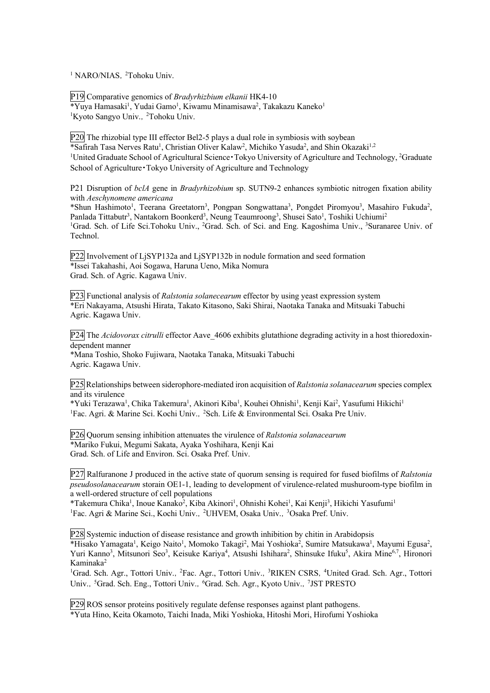<sup>1</sup> NARO/NIAS, <sup>2</sup>Tohoku Univ.

P19 Comparative genomics of *Bradyrhizbium elkanii* HK4-10 \*Yuya Hamasaki<sup>1</sup>, Yudai Gamo<sup>1</sup>, Kiwamu Minamisawa<sup>2</sup>, Takakazu Kaneko<sup>1</sup> <sup>1</sup>Kyoto Sangyo Univ., <sup>2</sup>Tohoku Univ.

P20 The rhizobial type III effector Bel2-5 plays a dual role in symbiosis with soybean \*Safirah Tasa Nerves Ratu<sup>1</sup>, Christian Oliver Kalaw<sup>2</sup>, Michiko Yasuda<sup>2</sup>, and Shin Okazaki<sup>1,2</sup> <sup>1</sup>United Graduate School of Agricultural Science · Tokyo University of Agriculture and Technology, <sup>2</sup>Graduate School of Agriculture Tokyo University of Agriculture and Technology

P21 Disruption of *bclA* gene in *Bradyrhizobium* sp. SUTN9-2 enhances symbiotic nitrogen fixation ability with *Aeschynomene americana*

\*Shun Hashimoto<sup>1</sup>, Teerana Greetatorn<sup>3</sup>, Pongpan Songwattana<sup>3</sup>, Pongdet Piromyou<sup>3</sup>, Masahiro Fukuda<sup>2</sup>, Panlada Tittabutr<sup>3</sup>, Nantakorn Boonkerd<sup>3</sup>, Neung Teaumroong<sup>3</sup>, Shusei Sato<sup>1</sup>, Toshiki Uchiumi<sup>2</sup> <sup>1</sup>Grad. Sch. of Life Sci.Tohoku Univ., <sup>2</sup>Grad. Sch. of Sci. and Eng. Kagoshima Univ., <sup>3</sup>Suranaree Univ. of Technol.

P22 Involvement of LjSYP132a and LjSYP132b in nodule formation and seed formation \*Issei Takahashi, Aoi Sogawa, Haruna Ueno, Mika Nomura Grad. Sch. of Agric. Kagawa Univ.

P23 Functional analysis of *Ralstonia solanecearum* effector by using yeast expression system \*Eri Nakayama, Atsushi Hirata, Takato Kitasono, Saki Shirai, Naotaka Tanaka and Mitsuaki Tabuchi Agric. Kagawa Univ.

P24 The *Acidovorax citrulli* effector Aave 4606 exhibits glutathione degrading activity in a host thioredoxindependent manner

\*Mana Toshio, Shoko Fujiwara, Naotaka Tanaka, Mitsuaki Tabuchi Agric. Kagawa Univ.

P25 Relationships between siderophore-mediated iron acquisition of *Ralstonia solanacearum* species complex and its virulence

\*Yuki Terazawa<sup>1</sup>, Chika Takemura<sup>1</sup>, Akinori Kiba<sup>1</sup>, Kouhei Ohnishi<sup>1</sup>, Kenji Kai<sup>2</sup>, Yasufumi Hikichi<sup>1</sup> <sup>1</sup>Fac. Agri. & Marine Sci. Kochi Univ., <sup>2</sup>Sch. Life & Environmental Sci. Osaka Pre Univ.

P26 Quorum sensing inhibition attenuates the virulence of *Ralstonia solanacearum* \*Mariko Fukui, Megumi Sakata, Ayaka Yoshihara, Kenji Kai Grad. Sch. of Life and Environ. Sci. Osaka Pref. Univ.

P27 Ralfuranone J produced in the active state of quorum sensing is required for fused biofilms of *Ralstonia pseudosolanacearum* storain OE1-1, leading to development of virulence-related mushuroom-type biofilm in a well-ordered structure of cell populations

\*Takemura Chika<sup>1</sup>, Inoue Kanako<sup>2</sup>, Kiba Akinori<sup>1</sup>, Ohnishi Kohei<sup>1</sup>, Kai Kenji<sup>3</sup>, Hikichi Yasufumi<sup>1</sup> <sup>1</sup>Fac. Agri & Marine Sci., Kochi Univ., <sup>2</sup>UHVEM, Osaka Univ., <sup>3</sup>Osaka Pref. Univ.

P28 Systemic induction of disease resistance and growth inhibition by chitin in Arabidopsis \*Hisako Yamagata<sup>1</sup>, Keigo Naito<sup>1</sup>, Momoko Takagi<sup>2</sup>, Mai Yoshioka<sup>2</sup>, Sumire Matsukawa<sup>1</sup>, Mayumi Egusa<sup>2</sup>, Yuri Kanno<sup>3</sup>, Mitsunori Seo<sup>3</sup>, Keisuke Kariya<sup>4</sup>, Atsushi Ishihara<sup>2</sup>, Shinsuke Ifuku<sup>5</sup>, Akira Mine<sup>6,7</sup>, Hironori Kaminaka2

<sup>1</sup>Grad. Sch. Agr., Tottori Univ., <sup>2</sup>Fac. Agr., Tottori Univ., <sup>3</sup>RIKEN CSRS, <sup>4</sup>United Grad. Sch. Agr., Tottori Univ., <sup>5</sup>Grad. Sch. Eng., Tottori Univ., <sup>6</sup>Grad. Sch. Agr., Kyoto Univ., <sup>7</sup>JST PRESTO

P29 ROS sensor proteins positively regulate defense responses against plant pathogens.

\*Yuta Hino, Keita Okamoto, Taichi Inada, Miki Yoshioka, Hitoshi Mori, Hirofumi Yoshioka